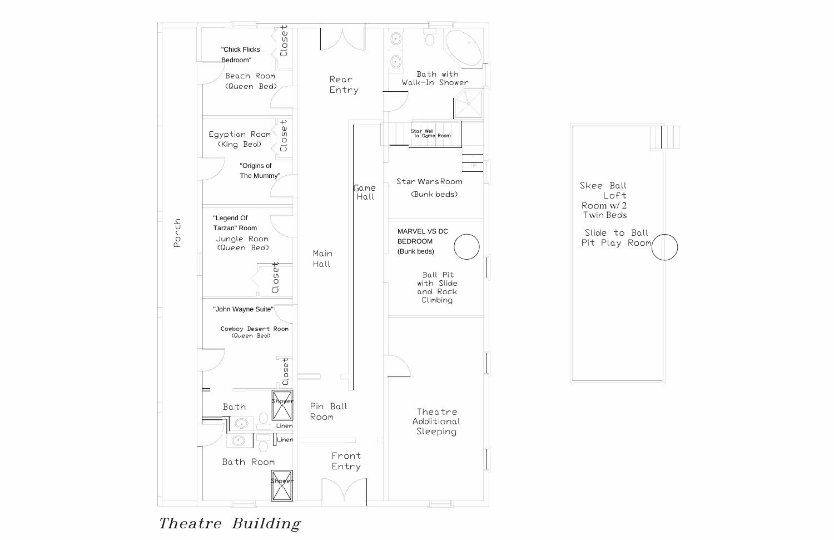

Skee Ball Room w/ 2 Twin Beds

*Theatre Building* 

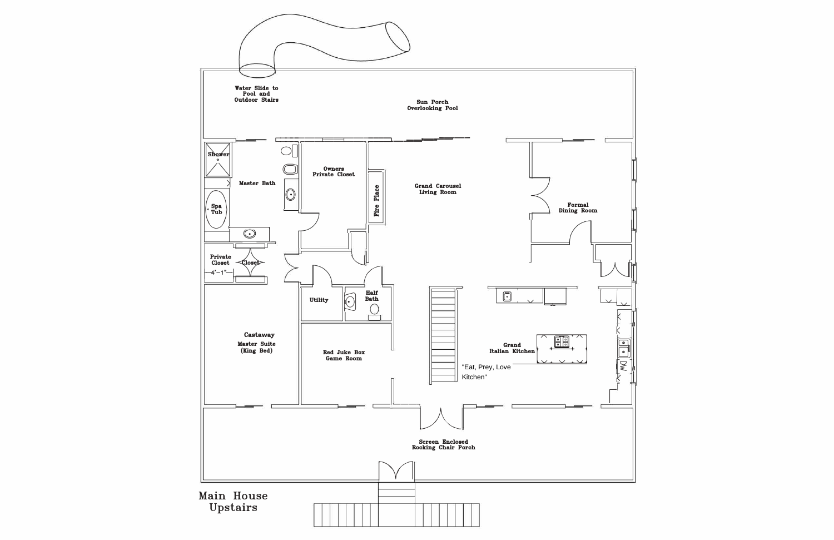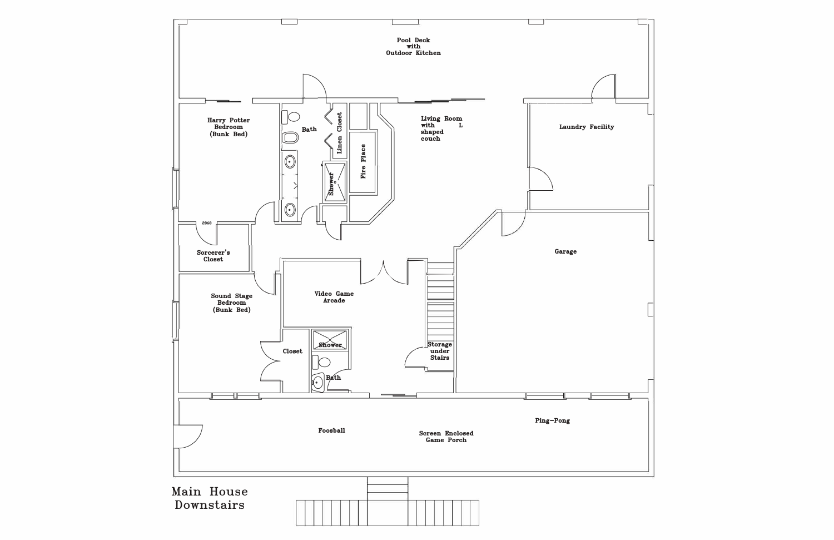